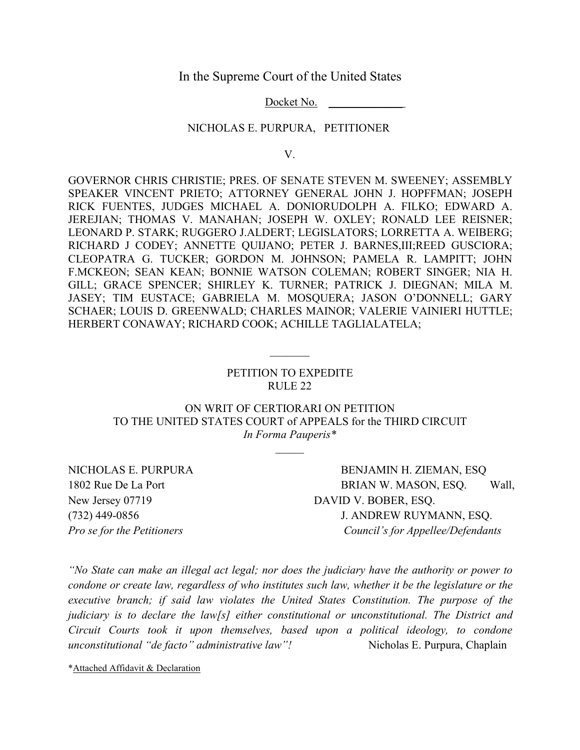In the Supreme Court of the United States

Docket No.

#### NICHOLAS E. PURPURA, PETITIONER

V.

GOVERNOR CHRIS CHRISTIE; PRES. OF SENATE STEVEN M. SWEENEY; ASSEMBLY SPEAKER VINCENT PRIETO; ATTORNEY GENERAL JOHN J. HOPFFMAN; JOSEPH RICK FUENTES, JUDGES MICHAEL A. DONIORUDOLPH A. FILKO; EDWARD A. JEREJIAN; THOMAS V. MANAHAN; JOSEPH W. OXLEY; RONALD LEE REISNER; LEONARD P. STARK; RUGGERO J.ALDERT; LEGISLATORS; LORRETTA A. WEIBERG; RICHARD J CODEY; ANNETTE QUIJANO; PETER J. BARNES,III;REED GUSCIORA; CLEOPATRA G. TUCKER; GORDON M. JOHNSON; PAMELA R. LAMPITT; JOHN F.MCKEON; SEAN KEAN; BONNIE WATSON COLEMAN; ROBERT SINGER; NIA H. GILL; GRACE SPENCER; SHIRLEY K. TURNER; PATRICK J. DIEGNAN; MILA M. JASEY; TIM EUSTACE; GABRIELA M. MOSQUERA; JASON O'DONNELL; GARY SCHAER; LOUIS D. GREENWALD; CHARLES MAINOR; VALERIE VAINIERI HUTTLE; HERBERT CONAWAY; RICHARD COOK; ACHILLE TAGLIALATELA;

## PETITION TO EXPEDITE RULE 22

 $\frac{1}{2}$  ,  $\frac{1}{2}$  ,  $\frac{1}{2}$  ,  $\frac{1}{2}$  ,  $\frac{1}{2}$  ,  $\frac{1}{2}$  ,  $\frac{1}{2}$  ,  $\frac{1}{2}$  ,  $\frac{1}{2}$  ,  $\frac{1}{2}$  ,  $\frac{1}{2}$  ,  $\frac{1}{2}$  ,  $\frac{1}{2}$  ,  $\frac{1}{2}$  ,  $\frac{1}{2}$  ,  $\frac{1}{2}$  ,  $\frac{1}{2}$  ,  $\frac{1}{2}$  ,  $\frac{1$ 

ON WRIT OF CERTIORARI ON PETITION TO THE UNITED STATES COURT of APPEALS for the THIRD CIRCUIT *In Forma Pauperis\**

New Jersey 07719 DAVID V. BOBER, ESQ.

NICHOLAS E. PURPURA BENJAMIN H. ZIEMAN, ESO 1802 Rue De La Port BRIAN W. MASON, ESQ. Wall, (732) 449-0856 J. ANDREW RUYMANN, ESQ. *Pro sefor the Petitioners Council's for Appellee/Defendants*

*"No State can make an illegal act legal; nor does the judiciary have the authority or power to condone or create law, regardless of who institutes such law, whether it be the legislature or the executive branch; if said law violates the United States Constitution. The purpose of the judiciary is to declare the law[s] either constitutional or unconstitutional. The District and Circuit Courts took it upon themselves, based upon a political ideology, to condone unconstitutional "de facto" administrative law"!* Nicholas E. Purpura, Chaplain

\*Attached Affidavit & Declaration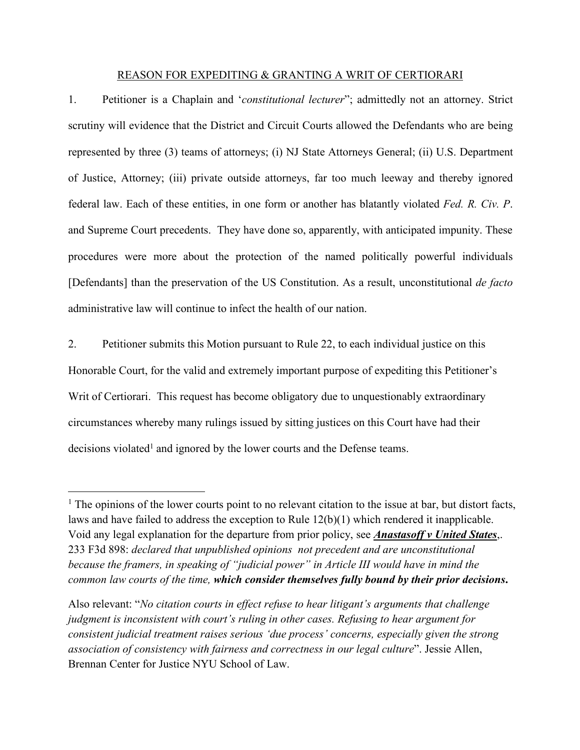#### REASON FOR EXPEDITING & GRANTING A WRIT OF CERTIORARI

1. Petitioner is a Chaplain and '*constitutional lecturer*"; admittedly not an attorney. Strict scrutiny will evidence that the District and Circuit Courts allowed the Defendants who are being represented by three (3) teams of attorneys; (i) NJ State Attorneys General; (ii) U.S. Department of Justice, Attorney; (iii) private outside attorneys, far too much leeway and thereby ignored federal law. Each of these entities, in one form or another has blatantly violated *Fed. R. Civ. P*. and Supreme Court precedents. They have done so, apparently, with anticipated impunity. These procedures were more about the protection of the named politically powerful individuals [Defendants] than the preservation of the US Constitution. As a result, unconstitutional *de facto* administrative law will continue to infect the health of our nation.

2. Petitioner submits this Motion pursuant to Rule 22, to each individual justice on this Honorable Court, for the valid and extremely important purpose of expediting this Petitioner's Writ of Certiorari. This request has become obligatory due to unquestionably extraordinary circumstances whereby many rulings issued by sitting justices on this Courthave had their decisions violated<sup>[1](#page-1-0)</sup> and ignored by the lower courts and the Defense teams.

<span id="page-1-0"></span><sup>&</sup>lt;sup>1</sup> The opinions of the lower courts point to no relevant citation to the issue at bar, but distort facts, laws and have failed to address the exception to Rule 12(b)(1) which rendered it inapplicable. Void any legal explanation for the departure from prior policy, see *Anastasoff v United States*,. 233 F3d 898: *declared that unpublished opinions not precedent and are unconstitutional because the framers,in speaking of "judicial power" in Article III would have in mind the common law courts of the time, which consider themselves fully bound by their prior decisions***.**

Also relevant: "*No citation courts in ef ect refuse to hear litigant's arguments that challenge judgment is inconsistent with court's ruling in other cases. Refusing to hearargument for consistent judicial treatment raises serious 'due process' concerns, especially given the strong association of consistency with fairness and correctness in our legal culture*". Jessie Allen, Brennan Center for Justice NYU School of Law.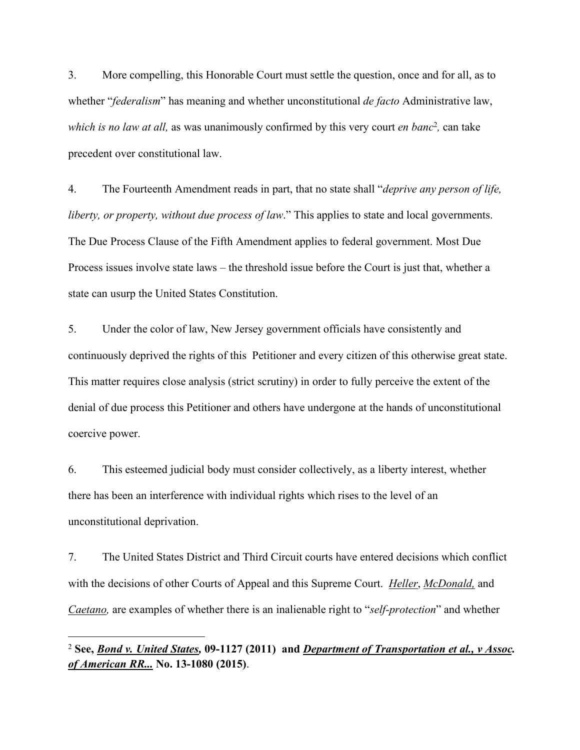3. More compelling, this Honorable Court must settle the question, once and for all, as to whether "*federalism*" has meaning and whether unconstitutional *de facto* Administrative law, *which is no law at all,* as was unanimously confirmed by this very court *en banc* [2](#page-2-0) *,* can take precedent over constitutional law.

4. The Fourteenth Amendment reads in part, that no state shall"*deprive any person of life, liberty, or property, without due process of law*." This applies to state and local governments. The Due Process Clause of the Fifth Amendment applies to federal government. Most Due Process issues involve state laws – the threshold issue before the Court is just that, whether a state can usurp the United States Constitution.

5. Under the color of law, New Jersey government officials have consistently and continuously deprived the rights of this Petitioner and every citizen of this otherwise great state. This matter requires close analysis (strict scrutiny) in order to fully perceive the extent of the denial of due process this Petitioner and others have undergone at the hands of unconstitutional coercive power.

6. This esteemed judicial body must consider collectively, as a liberty interest, whether there has been an interference with individual rights which rises to the level of an unconstitutional deprivation.

7. The United States District and Third Circuit courts have entered decisions which conflict with the decisions of other Courts of Appeal and this Supreme Court. *Heller*, *McDonald*, and *Caetano*, are examples of whether there is an inalienable right to "*self-protection*" and whether

<span id="page-2-0"></span><sup>2</sup> **See,** *Bond v. United States,* **09-1127 (2011) and** *Department of Transportation et al., v Assoc. of American RR...* **No. 13-1080 (2015)**.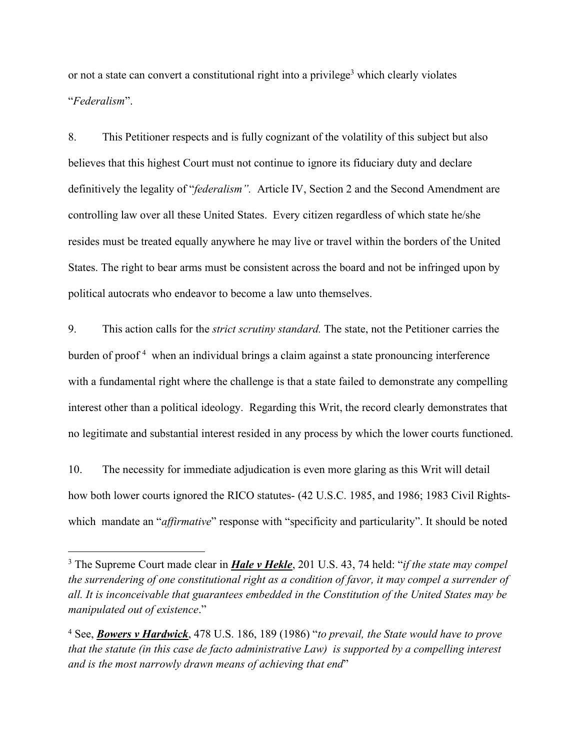or not a state can convert a constitutional right into a privilege [3](#page-3-0) which clearly violates "*Federalism*".

8. This Petitioner respects and is fully cognizant of the volatility of this subject but also believes that this highest Court must not continue to ignore its fiduciary duty and declare definitively the legality of "*federalism".* Article IV, Section 2 and the Second Amendment are controlling law over all these United States. Every citizen regardless of which state he/she resides must be treated equally anywhere he may live or travel within the borders of the United States. The right to bear arms must be consistent across the board and not be infringed upon by political autocrats who endeavor to become a law unto themselves.

9. This action calls for the *strict scrutiny standard.* The state, not the Petitioner carries the burden of proof [4](#page-3-1) when an individual brings a claim against a state pronouncing interference with a fundamental right where the challenge is that a state failed to demonstrate any compelling interest other than a political ideology. Regarding this Writ, the record clearly demonstrates that no legitimate and substantial interest resided in any process by which the lower courts functioned.

10. The necessity for immediate adjudication is even more glaring as this Writ will detail how both lower courts ignored the RICO statutes- (42 U.S.C. 1985, and 1986; 1983 Civil Rights which mandate an "*affirmative*" response with "specificity and particularity". It should be noted

<span id="page-3-0"></span><sup>3</sup> The Supreme Court made clear in *Hale v Hekle*,201 U.S. 43, 74 held: "*if the state may compel the surrendering of one constitutional right as a condition of favor, it may compel a surrender of all. It is inconceivable that guarantees embedded in the Constitution of the United States may be manipulated out of existence*."

<span id="page-3-1"></span><sup>4</sup> See, *Bowers v Hardwick*, 478 U.S. 186, 189 (1986) "*to prevail, the State would have to prove that the statute (in this case de facto administrative Law) is supported by a compelling interest and is the most narrowly drawn means of achieving that end*"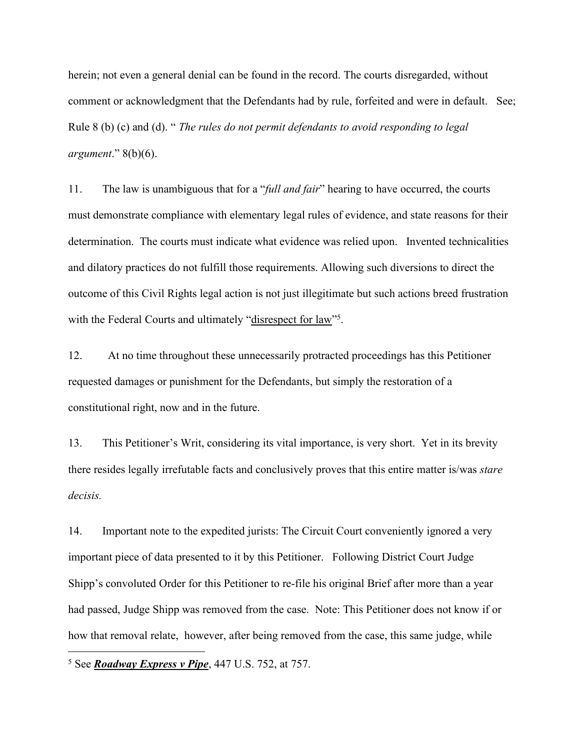herein; not even a general denial can be found in the record. The courts disregarded, without comment or acknowledgment that the Defendants had by rule, forfeited and were in default. See; Rule 8 (b) (c) and (d). " *The rules do not permit defendants to avoid responding to legal argument*." 8(b)(6).

11. The law is unambiguous that for a "*full and fair*" hearing to have occurred, the courts must demonstrate compliance with elementary legal rules of evidence, and state reasons for their determination. The courts must indicate what evidence was relied upon. Invented technicalities and dilatory practices do not fulfill those requirements. Allowing such diversions to direct the outcome of this Civil Rights legal action is not just illegitimate but such actions breed frustration with the Federal Courts and ultimately "disrespect for law"<sup>[5](#page-4-0)</sup>. .

12. At no time throughout these unnecessarily protracted proceedings has this Petitioner requested damages or punishment for the Defendants, but simply the restoration of a constitutional right, now and in the future.

13. This Petitioner's Writ, considering its vital importance, is very short. Yet in its brevity there resides legally irrefutable facts and conclusively proves that this entire matter is/was *stare decisis.*

14. Important note to the expedited jurists: The Circuit Court conveniently ignored a very important piece of data presented to it by this Petitioner. Following District Court Judge Shipp's convoluted Order for this Petitioner to re-file his original Brief after more than a year had passed, Judge Shipp was removed from the case. Note: This Petitioner does not know if or how that removal relate, however, after being removed from the case, this same judge, while

<span id="page-4-0"></span><sup>5</sup> See *Roadway Express v Pipe*, 447 U.S. 752, at 757.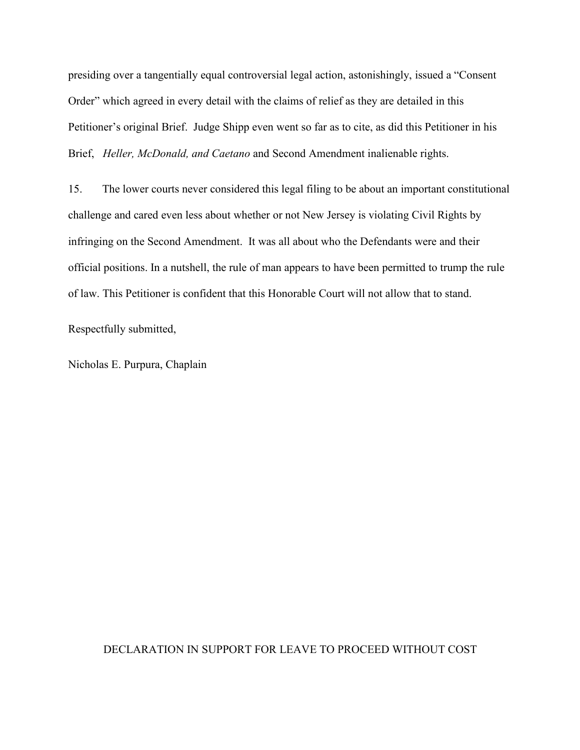presiding over a tangentially equal controversial legal action, astonishingly, issued a "Consent Order" which agreed in every detail with the claims of relief as they are detailed in this Petitioner's original Brief. Judge Shipp even went so far as to cite, as did this Petitioner in his Brief, *Heller, McDonald, and Caetano* and Second Amendment inalienable rights.

15. The lower courts never considered this legal filing to be about an important constitutional challenge and cared even less aboutwhether or not New Jersey is violating Civil Rights by infringing on the Second Amendment. It was all about who the Defendants were and their official positions. In a nutshell, the rule of man appears to have been permitted to trump the rule of law. This Petitioner is confident that this Honorable Court will not allow that to stand.

Respectfully submitted,

Nicholas E. Purpura, Chaplain

## DECLARATION IN SUPPORT FOR LEAVE TO PROCEED WITHOUT COST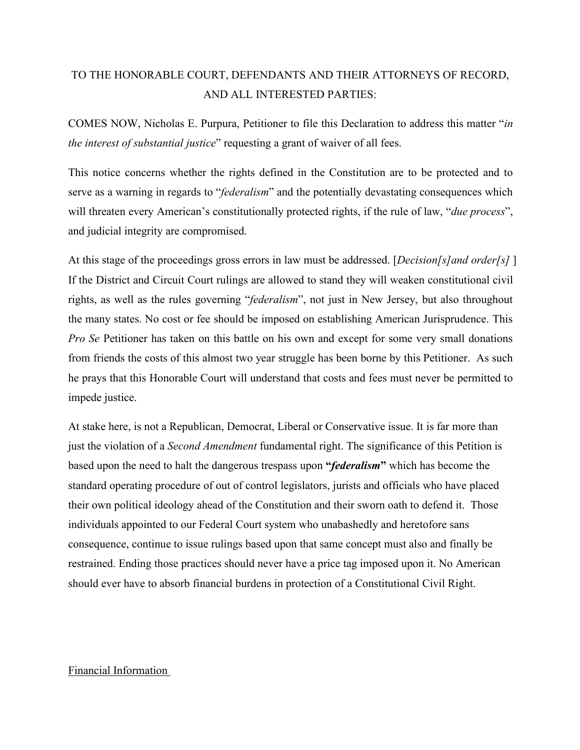# TO THE HONORABLE COURT, DEFENDANTS AND THEIR ATTORNEYS OF RECORD, AND ALL INTERESTED PARTIES:

COMES NOW, Nicholas E. Purpura, Petitioner to file this Declaration to address this matter "*in the interest of substantial justice*" requesting a grant of waiver of all fees.

This notice concerns whether the rights defined in the Constitution are to be protected and to serve as a warning in regards to "*federalism*" and the potentially devastating consequences which will threaten every American's constitutionally protected rights, if the rule of law, "*due process*", and judicial integrity are compromised.

At this stage of the proceedings gross errors in law must be addressed. [*Decision[s]and order[s]* ] If the District and Circuit Court rulings are allowed to stand they will weaken constitutional civil rights, as well as the rules governing "*federalism*", not just in New Jersey, but also throughout the many states. No cost or fee should be imposed on establishing American Jurisprudence. This *Pro Se* Petitioner has taken on this battle on his own and except for some very small donations from friends the costs of this almost two year struggle has been borne by this Petitioner. As such he prays that this Honorable Court will understand that costs and fees must never be permitted to impede justice.

At stake here, is not a Republican, Democrat, Liberal or Conservative issue. It is far more than just the violation of a *Second Amendment* fundamental right. The significance of this Petition is based upon the need to halt the dangerous trespass upon **"***federalism***"** which has become the standard operating procedure of out of control legislators, jurists and officials who have placed their own political ideology ahead of the Constitution and their sworn oath to defend it. Those individuals appointed to our Federal Court system who unabashedly and heretofore sans consequence, continue to issue rulings based upon that same concept must also and finally be restrained. Ending those practices should never have a price tag imposed upon it. No American should ever have to absorb financial burdens in protection of a Constitutional Civil Right.

## Financial Information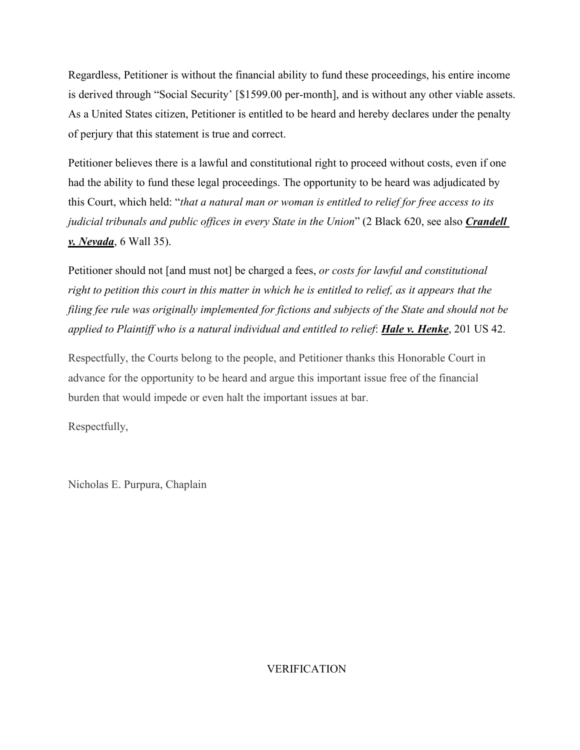Regardless, Petitioner is without the financial ability to fund these proceedings, his entire income is derived through "Social Security' [\$1599.00 per-month], and is without any other viable assets. As a United States citizen, Petitioner is entitled to be heard and hereby declares under the penalty of perjury that this statement is true and correct.

Petitioner believes there is a lawful and constitutional right to proceed without costs, even if one had the ability to fund these legal proceedings. The opportunity to be heard was adjudicated by this Court, which held: "*that a natural man or woman is entitled to relief for free access to its judicial tribunals and public of ices in every State in the Union*" (2 Black 620, see also *Crandell v. Nevada*, 6 Wall 35).

Petitioner should not [and must not] be charged a fees, *or costs for lawful and constitutional* right to petition this court in this matter in which he is entitled to relief, as it appears that the *filing fee rule was originally implemented for fictions and subjects of the State and should not be applied to Plaintifwho is a natural individual and entitled to relief*: *Hale v. Henke*, 201 US 42.

Respectfully, the Courts belong to the people, and Petitioner thanks this Honorable Court in advance for the opportunity to be heard and argue this important issue free of the financial burden that would impede or even halt the important issues at bar.

Respectfully,

Nicholas E. Purpura, Chaplain